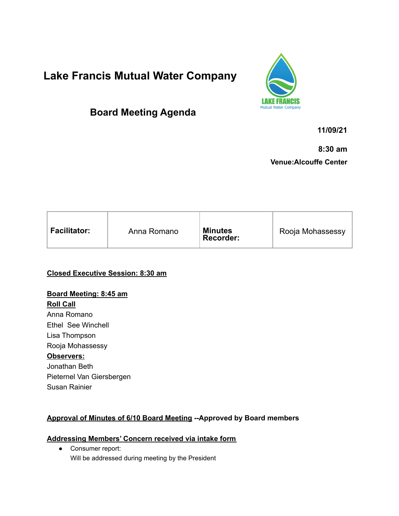# **Lake Francis Mutual Water Company**

## **Board Meeting Agenda**



**11/09/21**

**8:30 am Venue:Alcouffe Center**

| <b>Facilitator:</b><br><b>Minutes</b><br>Rooja Mohassessy<br>Anna Romano<br>Recorder: |
|---------------------------------------------------------------------------------------|
|---------------------------------------------------------------------------------------|

**Closed Executive Session: 8:30 am**

## **Board Meeting: 8:45 am Roll Call** Anna Romano Ethel See Winchell Lisa Thompson Rooja Mohassessy **Observers:** Jonathan Beth Pieternel Van Giersbergen Susan Rainier

## **Approval of Minutes of 6/10 Board Meeting --Approved by Board members**

## **Addressing Members' Concern received via intake form**

● Consumer report: Will be addressed during meeting by the President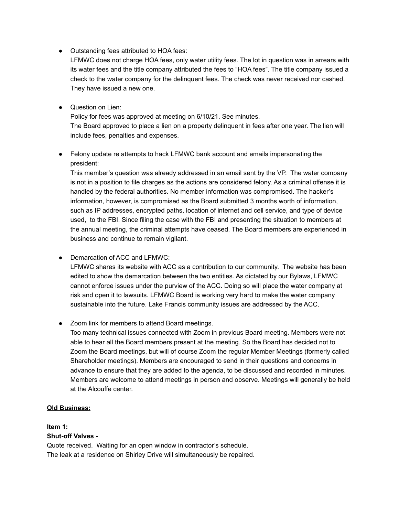● Outstanding fees attributed to HOA fees:

LFMWC does not charge HOA fees, only water utility fees. The lot in question was in arrears with its water fees and the title company attributed the fees to "HOA fees". The title company issued a check to the water company for the delinquent fees. The check was never received nor cashed. They have issued a new one.

● Question on Lien:

Policy for fees was approved at meeting on 6/10/21. See minutes. The Board approved to place a lien on a property delinquent in fees after one year. The lien will include fees, penalties and expenses.

● Felony update re attempts to hack LFMWC bank account and emails impersonating the president:

This member's question was already addressed in an email sent by the VP. The water company is not in a position to file charges as the actions are considered felony. As a criminal offense it is handled by the federal authorities. No member information was compromised. The hacker's information, however, is compromised as the Board submitted 3 months worth of information, such as IP addresses, encrypted paths, location of internet and cell service, and type of device used, to the FBI. Since filing the case with the FBI and presenting the situation to members at the annual meeting, the criminal attempts have ceased. The Board members are experienced in business and continue to remain vigilant.

● Demarcation of ACC and LFMWC:

LFMWC shares its website with ACC as a contribution to our community. The website has been edited to show the demarcation between the two entities. As dictated by our Bylaws, LFMWC cannot enforce issues under the purview of the ACC. Doing so will place the water company at risk and open it to lawsuits. LFMWC Board is working very hard to make the water company sustainable into the future. Lake Francis community issues are addressed by the ACC.

● Zoom link for members to attend Board meetings.

Too many technical issues connected with Zoom in previous Board meeting. Members were not able to hear all the Board members present at the meeting. So the Board has decided not to Zoom the Board meetings, but will of course Zoom the regular Member Meetings (formerly called Shareholder meetings). Members are encouraged to send in their questions and concerns in advance to ensure that they are added to the agenda, to be discussed and recorded in minutes. Members are welcome to attend meetings in person and observe. Meetings will generally be held at the Alcouffe center.

#### **Old Business:**

## **Item 1: Shut-off Valves -**

Quote received. Waiting for an open window in contractor's schedule. The leak at a residence on Shirley Drive will simultaneously be repaired.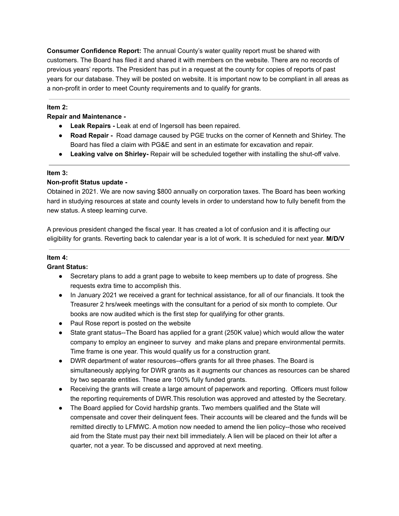**Consumer Confidence Report:** The annual County's water quality report must be shared with customers. The Board has filed it and shared it with members on the website. There are no records of previous years' reports. The President has put in a request at the county for copies of reports of past years for our database. They will be posted on website. It is important now to be compliant in all areas as a non-profit in order to meet County requirements and to qualify for grants.

### **Item 2:**

### **Repair and Maintenance -**

- **● Leak Repairs -** Leak at end of Ingersoll has been repaired.
- **Road Repair -** Road damage caused by PGE trucks on the corner of Kenneth and Shirley. The Board has filed a claim with PG&E and sent in an estimate for excavation and repair.
- **● Leaking valve on Shirley-** Repair will be scheduled together with installing the shut-off valve.

#### **Item 3:**

#### **Non-profit Status update -**

Obtained in 2021. We are now saving \$800 annually on corporation taxes. The Board has been working hard in studying resources at state and county levels in order to understand how to fully benefit from the new status. A steep learning curve.

A previous president changed the fiscal year. It has created a lot of confusion and it is affecting our eligibility for grants. Reverting back to calendar year is a lot of work. It is scheduled for next year. **M/D/V**

## **Item 4:**

## **Grant Status:**

- Secretary plans to add a grant page to website to keep members up to date of progress. She requests extra time to accomplish this.
- In January 2021 we received a grant for technical assistance, for all of our financials. It took the Treasurer 2 hrs/week meetings with the consultant for a period of six month to complete. Our books are now audited which is the first step for qualifying for other grants.
- Paul Rose report is posted on the website
- State grant status--The Board has applied for a grant (250K value) which would allow the water company to employ an engineer to survey and make plans and prepare environmental permits. Time frame is one year. This would qualify us for a construction grant.
- DWR department of water resources--offers grants for all three phases. The Board is simultaneously applying for DWR grants as it augments our chances as resources can be shared by two separate entities. These are 100% fully funded grants.
- Receiving the grants will create a large amount of paperwork and reporting. Officers must follow the reporting requirements of DWR.This resolution was approved and attested by the Secretary.
- The Board applied for Covid hardship grants. Two members qualified and the State will compensate and cover their delinquent fees. Their accounts will be cleared and the funds will be remitted directly to LFMWC. A motion now needed to amend the lien policy--those who received aid from the State must pay their next bill immediately. A lien will be placed on their lot after a quarter, not a year. To be discussed and approved at next meeting.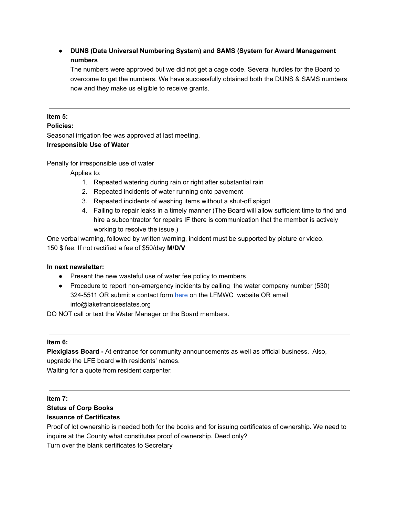## **● DUNS (Data Universal Numbering System) and SAMS (System for Award Management numbers**

The numbers were approved but we did not get a cage code. Several hurdles for the Board to overcome to get the numbers. We have successfully obtained both the DUNS & SAMS numbers now and they make us eligible to receive grants.

#### **Item 5:**

#### **Policies:**

Seasonal irrigation fee was approved at last meeting.

#### **Irresponsible Use of Water**

Penalty for irresponsible use of water

Applies to:

- 1. Repeated watering during rain,or right after substantial rain
- 2. Repeated incidents of water running onto pavement
- 3. Repeated incidents of washing items without a shut-off spigot
- 4. Failing to repair leaks in a timely manner (The Board will allow sufficient time to find and hire a subcontractor for repairs IF there is communication that the member is actively working to resolve the issue.)

One verbal warning, followed by written warning, incident must be supported by picture or video. 150 \$ fee. If not rectified a fee of \$50/day **M/D/V**

#### **In next newsletter:**

- Present the new wasteful use of water fee policy to members
- Procedure to report non-emergency incidents by calling the water company number (530) 324-5511 OR submit a contact form [here](https://lakefrancisestates.org/contacts/) on the LFMWC website OR email info@lakefrancisestates.org

DO NOT call or text the Water Manager or the Board members.

#### **Item 6:**

**Plexiglass Board -** At entrance for community announcements as well as official business. Also, upgrade the LFE board with residents' names. Waiting for a quote from resident carpenter.

**Item 7:**

## **Status of Corp Books**

#### **Issuance of Certificates**

Proof of lot ownership is needed both for the books and for issuing certificates of ownership. We need to inquire at the County what constitutes proof of ownership. Deed only? Turn over the blank certificates to Secretary